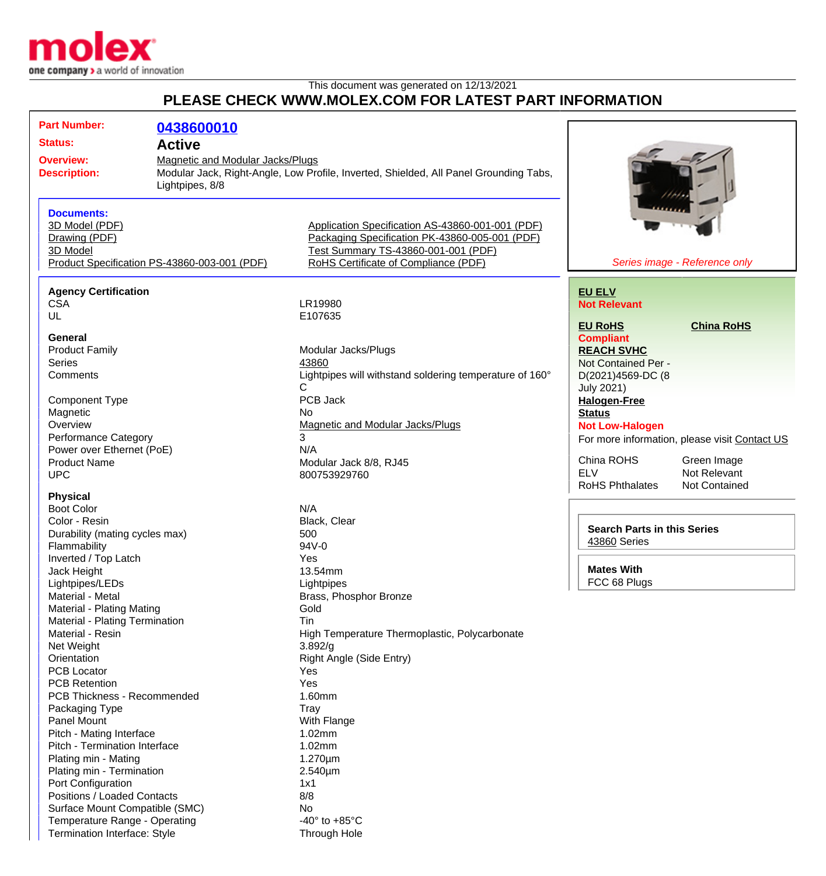

Termination Interface: Style Through Hole

## This document was generated on 12/13/2021 **PLEASE CHECK WWW.MOLEX.COM FOR LATEST PART INFORMATION**

| <b>Part Number:</b>                                                                            | 0438600010                                   |                                                                                       |                                       |                                               |
|------------------------------------------------------------------------------------------------|----------------------------------------------|---------------------------------------------------------------------------------------|---------------------------------------|-----------------------------------------------|
| <b>Status:</b>                                                                                 | <b>Active</b>                                |                                                                                       |                                       |                                               |
| Magnetic and Modular Jacks/Plugs<br><b>Overview:</b><br><b>Description:</b><br>Lightpipes, 8/8 |                                              |                                                                                       |                                       |                                               |
|                                                                                                |                                              |                                                                                       |                                       |                                               |
|                                                                                                |                                              | Modular Jack, Right-Angle, Low Profile, Inverted, Shielded, All Panel Grounding Tabs, |                                       |                                               |
|                                                                                                |                                              |                                                                                       |                                       |                                               |
| <b>Documents:</b>                                                                              |                                              |                                                                                       |                                       |                                               |
| 3D Model (PDF)                                                                                 |                                              | Application Specification AS-43860-001-001 (PDF)                                      |                                       |                                               |
| Drawing (PDF)                                                                                  |                                              | Packaging Specification PK-43860-005-001 (PDF)                                        |                                       |                                               |
| 3D Model                                                                                       |                                              | Test Summary TS-43860-001-001 (PDF)                                                   |                                       |                                               |
|                                                                                                | Product Specification PS-43860-003-001 (PDF) | RoHS Certificate of Compliance (PDF)                                                  |                                       | Series image - Reference only                 |
|                                                                                                |                                              |                                                                                       |                                       |                                               |
| <b>Agency Certification</b>                                                                    |                                              |                                                                                       | <b>EU ELV</b>                         |                                               |
| <b>CSA</b>                                                                                     |                                              | LR19980                                                                               | <b>Not Relevant</b>                   |                                               |
| UL                                                                                             |                                              | E107635                                                                               |                                       |                                               |
| <b>General</b>                                                                                 |                                              |                                                                                       | <b>EU RoHS</b>                        | <b>China RoHS</b>                             |
| <b>Product Family</b>                                                                          |                                              | Modular Jacks/Plugs                                                                   | <b>Compliant</b><br><b>REACH SVHC</b> |                                               |
| <b>Series</b>                                                                                  |                                              | 43860                                                                                 | Not Contained Per -                   |                                               |
| Comments                                                                                       |                                              | Lightpipes will withstand soldering temperature of 160°                               | D(2021)4569-DC (8                     |                                               |
|                                                                                                |                                              | C                                                                                     | <b>July 2021)</b>                     |                                               |
| <b>Component Type</b>                                                                          |                                              | PCB Jack                                                                              | <b>Halogen-Free</b>                   |                                               |
| Magnetic                                                                                       |                                              | No                                                                                    | <b>Status</b>                         |                                               |
| Overview                                                                                       |                                              | Magnetic and Modular Jacks/Plugs                                                      | <b>Not Low-Halogen</b>                |                                               |
| Performance Category                                                                           |                                              | 3                                                                                     |                                       | For more information, please visit Contact US |
| Power over Ethernet (PoE)                                                                      |                                              | N/A                                                                                   |                                       |                                               |
| <b>Product Name</b>                                                                            |                                              | Modular Jack 8/8, RJ45                                                                | China ROHS                            | Green Image                                   |
| <b>UPC</b>                                                                                     |                                              | 800753929760                                                                          | <b>ELV</b>                            | Not Relevant                                  |
|                                                                                                |                                              |                                                                                       | <b>RoHS Phthalates</b>                | <b>Not Contained</b>                          |
| <b>Physical</b>                                                                                |                                              |                                                                                       |                                       |                                               |
| <b>Boot Color</b>                                                                              |                                              | N/A                                                                                   |                                       |                                               |
| Color - Resin                                                                                  |                                              | Black, Clear                                                                          | <b>Search Parts in this Series</b>    |                                               |
| Durability (mating cycles max)                                                                 |                                              | 500                                                                                   | 43860 Series                          |                                               |
| Flammability                                                                                   |                                              | 94V-0                                                                                 |                                       |                                               |
| Inverted / Top Latch                                                                           |                                              | Yes<br>13.54mm                                                                        | <b>Mates With</b>                     |                                               |
| Jack Height                                                                                    |                                              | Lightpipes                                                                            | FCC 68 Plugs                          |                                               |
| Lightpipes/LEDs<br>Material - Metal                                                            |                                              | Brass, Phosphor Bronze                                                                |                                       |                                               |
| Material - Plating Mating                                                                      |                                              | Gold                                                                                  |                                       |                                               |
| Material - Plating Termination                                                                 |                                              | Tin                                                                                   |                                       |                                               |
| Material - Resin                                                                               |                                              | High Temperature Thermoplastic, Polycarbonate                                         |                                       |                                               |
| Net Weight                                                                                     |                                              | 3.892/g                                                                               |                                       |                                               |
| Orientation                                                                                    |                                              | Right Angle (Side Entry)                                                              |                                       |                                               |
| <b>PCB Locator</b>                                                                             |                                              | Yes                                                                                   |                                       |                                               |
| <b>PCB Retention</b>                                                                           |                                              | Yes                                                                                   |                                       |                                               |
| <b>PCB Thickness - Recommended</b>                                                             |                                              | 1.60mm                                                                                |                                       |                                               |
| Packaging Type                                                                                 |                                              | <b>Tray</b>                                                                           |                                       |                                               |
| Panel Mount                                                                                    |                                              | With Flange                                                                           |                                       |                                               |
| Pitch - Mating Interface                                                                       |                                              | 1.02mm                                                                                |                                       |                                               |
| Pitch - Termination Interface                                                                  |                                              | 1.02mm                                                                                |                                       |                                               |
| Plating min - Mating                                                                           |                                              | $1.270 \mu m$                                                                         |                                       |                                               |
| Plating min - Termination                                                                      |                                              | 2.540µm                                                                               |                                       |                                               |
| Port Configuration                                                                             |                                              | 1x1                                                                                   |                                       |                                               |
| Positions / Loaded Contacts                                                                    |                                              | 8/8                                                                                   |                                       |                                               |
| Surface Mount Compatible (SMC)                                                                 |                                              | No                                                                                    |                                       |                                               |
| Temperature Range - Operating                                                                  |                                              | -40 $\degree$ to +85 $\degree$ C                                                      |                                       |                                               |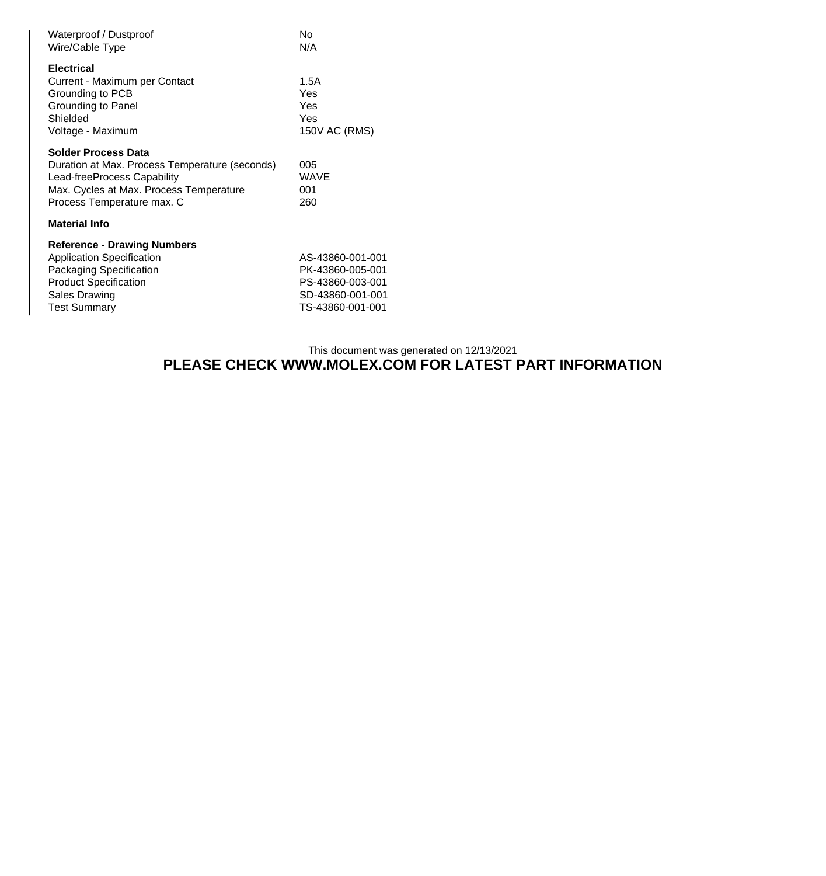| No<br>N/A                                                                                        |
|--------------------------------------------------------------------------------------------------|
| 1.5A<br>Yes<br>Yes<br>Yes<br>150V AC (RMS)                                                       |
| 005<br><b>WAVE</b><br>001<br>260                                                                 |
|                                                                                                  |
| AS-43860-001-001<br>PK-43860-005-001<br>PS-43860-003-001<br>SD-43860-001-001<br>TS-43860-001-001 |
|                                                                                                  |

## This document was generated on 12/13/2021 **PLEASE CHECK WWW.MOLEX.COM FOR LATEST PART INFORMATION**